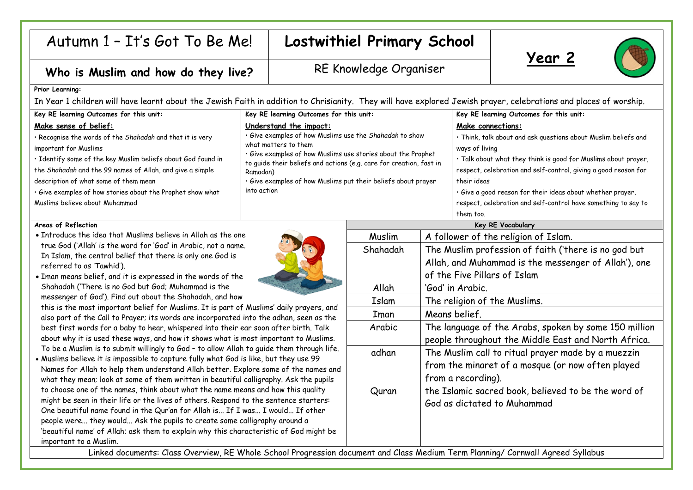## Autumn 1 – It's Got To Be Me! **Lostwithiel Primary School**

Who is Muslim and how do they live? **RE Knowledge Organiser** 





## **Prior Learning:**

In Year 1 children will have learnt about the Jewish Faith in addition to Chrisianity. They will have explored Jewish prayer, celebrations and places of worship.

| Key RE learning Outcomes for this unit:                      | Key RE learning Outcomes for this unit:                                                                                                                                                                                            | Key RE learning Outcomes for this unit:                         |
|--------------------------------------------------------------|------------------------------------------------------------------------------------------------------------------------------------------------------------------------------------------------------------------------------------|-----------------------------------------------------------------|
| Make sense of belief:                                        | Understand the impact:                                                                                                                                                                                                             | Make connections:                                               |
| . Recognise the words of the Shahadah and that it is very    | · Give examples of how Muslims use the Shahadah to show<br>what matters to them<br>· Give examples of how Muslims use stories about the Prophet<br>to guide their beliefs and actions (e.g. care for creation, fast in<br>Ramadan) | · Think, talk about and ask questions about Muslim beliefs and  |
| important for Muslims                                        |                                                                                                                                                                                                                                    | ways of living                                                  |
| · Identify some of the key Muslim beliefs about God found in |                                                                                                                                                                                                                                    | · Talk about what they think is good for Muslims about prayer,  |
| the Shahadah and the 99 names of Allah, and give a simple    |                                                                                                                                                                                                                                    | respect, celebration and self-control, giving a good reason for |
| description of what some of them mean                        | · Give examples of how Muslims put their beliefs about prayer                                                                                                                                                                      | their ideas                                                     |
| · Give examples of how stories about the Prophet show what   | into action                                                                                                                                                                                                                        | · Give a good reason for their ideas about whether prayer,      |
| Muslims believe about Muhammad                               |                                                                                                                                                                                                                                    | respect, celebration and self-control have something to say to  |
|                                                              |                                                                                                                                                                                                                                    | them too.                                                       |

## **Areas of Reflection**

- Introduce the idea that Muslims believe in Allah as the one true God ('Allah' is the word for 'God' in Arabic, not a name. In Islam, the central belief that there is only one God is referred to as 'Tawhid').
- Iman means belief, and it is expressed in the words of the Shahadah ('There is no God but God; Muhammad is the messenger of God'). Find out about the Shahadah, and how

this is the most important belief for Muslims. It is part of Muslims' daily prayers, and also part of the Call to Prayer; its words are incorporated into the adhan, seen as the best first words for a baby to hear, whispered into their ear soon after birth. Talk about why it is used these ways, and how it shows what is most important to Muslims. To be a Muslim is to submit willingly to God – to allow Allah to guide them through life.

• Muslims believe it is impossible to capture fully what God is like, but they use 99 Names for Allah to help them understand Allah better. Explore some of the names and what they mean; look at some of them written in beautiful calligraphy. Ask the pupils to choose one of the names, think about what the name means and how this quality might be seen in their life or the lives of others. Respond to the sentence starters: One beautiful name found in the Qur'an for Allah is... If I was... I would... If other people were... they would... Ask the pupils to create some calligraphy around a 'beautiful name' of Allah; ask them to explain why this characteristic of God might be important to a Muslim.

| $\widehat{\epsilon}$ |  |
|----------------------|--|
|                      |  |
|                      |  |
|                      |  |

| Key RE Vocabulary                                              |                                                       |  |
|----------------------------------------------------------------|-------------------------------------------------------|--|
| Muslim                                                         | A follower of the religion of Islam.                  |  |
| Shahadah                                                       | The Muslim profession of faith ('there is no god but  |  |
|                                                                | Allah, and Muhammad is the messenger of Allah'), one  |  |
|                                                                | of the Five Pillars of Islam                          |  |
| Allah                                                          | 'God' in Arabic.                                      |  |
| Islam                                                          | The religion of the Muslims.                          |  |
| Iman                                                           | Means belief.                                         |  |
| Arabic                                                         | The language of the Arabs, spoken by some 150 million |  |
|                                                                | people throughout the Middle East and North Africa.   |  |
| adhan                                                          | The Muslim call to ritual prayer made by a muezzin    |  |
|                                                                | from the minaret of a mosque (or now often played     |  |
|                                                                | from a recording).                                    |  |
| Quran                                                          | the Islamic sacred book, believed to be the word of   |  |
|                                                                | God as dictated to Muhammad                           |  |
|                                                                |                                                       |  |
|                                                                |                                                       |  |
|                                                                |                                                       |  |
| ument and Class Medium Term Planning/ Cornwall Agreed Syllabus |                                                       |  |

Linked documents: Class Overview, RE Whole School Progression docu